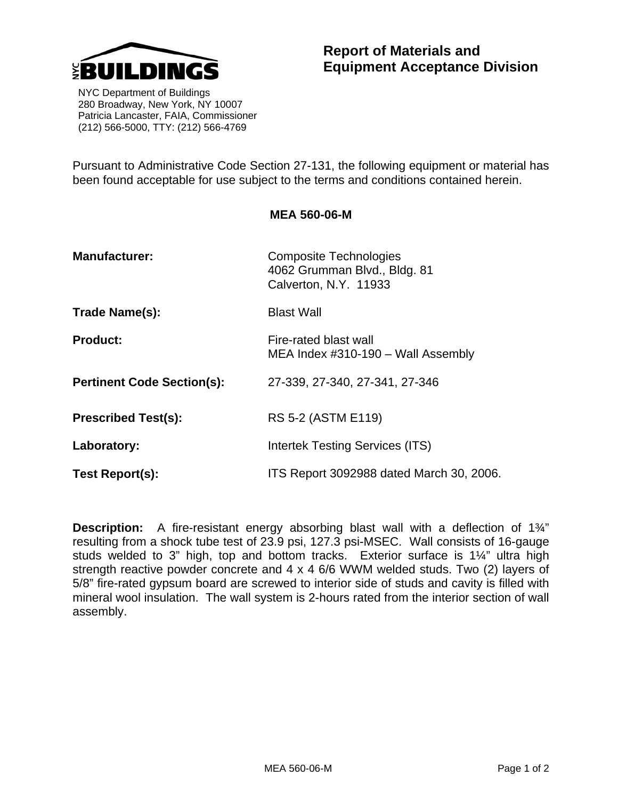

 NYC Department of Buildings 280 Broadway, New York, NY 10007 Patricia Lancaster, FAIA, Commissioner (212) 566-5000, TTY: (212) 566-4769

Pursuant to Administrative Code Section 27-131, the following equipment or material has been found acceptable for use subject to the terms and conditions contained herein.

**MEA 560-06-M** 

| <b>Manufacturer:</b>              | <b>Composite Technologies</b><br>4062 Grumman Blvd., Bldg. 81<br>Calverton, N.Y. 11933 |
|-----------------------------------|----------------------------------------------------------------------------------------|
| Trade Name(s):                    | <b>Blast Wall</b>                                                                      |
| <b>Product:</b>                   | Fire-rated blast wall<br>MEA Index $\#310-190$ – Wall Assembly                         |
| <b>Pertinent Code Section(s):</b> | 27-339, 27-340, 27-341, 27-346                                                         |
| <b>Prescribed Test(s):</b>        | RS 5-2 (ASTM E119)                                                                     |
| Laboratory:                       | Intertek Testing Services (ITS)                                                        |
| Test Report(s):                   | ITS Report 3092988 dated March 30, 2006.                                               |

**Description:** A fire-resistant energy absorbing blast wall with a deflection of 1<sup>3</sup>/<sub>4</sub>" resulting from a shock tube test of 23.9 psi, 127.3 psi-MSEC. Wall consists of 16-gauge studs welded to 3" high, top and bottom tracks. Exterior surface is 1¼" ultra high strength reactive powder concrete and 4 x 4 6/6 WWM welded studs. Two (2) layers of 5/8" fire-rated gypsum board are screwed to interior side of studs and cavity is filled with mineral wool insulation. The wall system is 2-hours rated from the interior section of wall assembly.